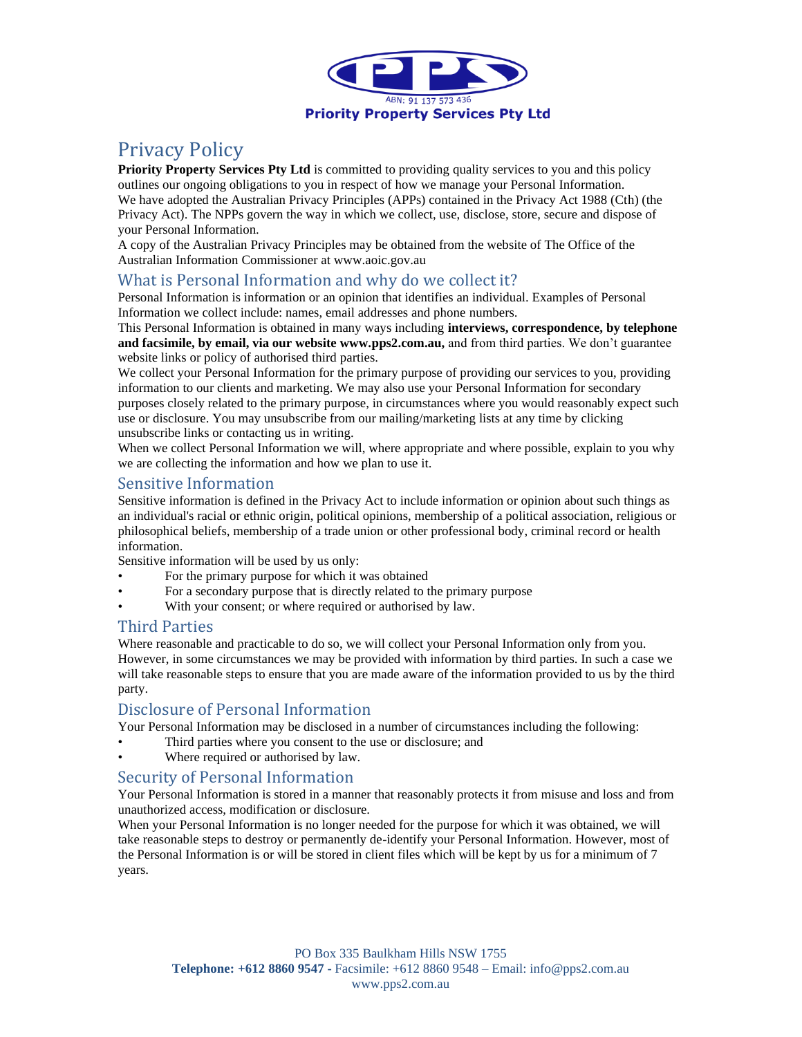

# Privacy Policy

**Priority Property Services Pty Ltd** is committed to providing quality services to you and this policy outlines our ongoing obligations to you in respect of how we manage your Personal Information. We have adopted the Australian Privacy Principles (APPs) contained in the Privacy Act 1988 (Cth) (the Privacy Act). The NPPs govern the way in which we collect, use, disclose, store, secure and dispose of your Personal Information.

A copy of the Australian Privacy Principles may be obtained from the website of The Office of the Australian Information Commissioner at www.aoic.gov.au

#### What is Personal Information and why do we collect it?

Personal Information is information or an opinion that identifies an individual. Examples of Personal Information we collect include: names, email addresses and phone numbers.

This Personal Information is obtained in many ways including **interviews, correspondence, by telephone and facsimile, by email, via our website www.pps2.com.au,** and from third parties. We don't guarantee website links or policy of authorised third parties.

We collect your Personal Information for the primary purpose of providing our services to you, providing information to our clients and marketing. We may also use your Personal Information for secondary purposes closely related to the primary purpose, in circumstances where you would reasonably expect such use or disclosure. You may unsubscribe from our mailing/marketing lists at any time by clicking unsubscribe links or contacting us in writing.

When we collect Personal Information we will, where appropriate and where possible, explain to you why we are collecting the information and how we plan to use it.

### Sensitive Information

Sensitive information is defined in the Privacy Act to include information or opinion about such things as an individual's racial or ethnic origin, political opinions, membership of a political association, religious or philosophical beliefs, membership of a trade union or other professional body, criminal record or health information.

Sensitive information will be used by us only:

- For the primary purpose for which it was obtained
- For a secondary purpose that is directly related to the primary purpose
- With your consent; or where required or authorised by law.

#### Third Parties

Where reasonable and practicable to do so, we will collect your Personal Information only from you. However, in some circumstances we may be provided with information by third parties. In such a case we will take reasonable steps to ensure that you are made aware of the information provided to us by the third party.

#### Disclosure of Personal Information

Your Personal Information may be disclosed in a number of circumstances including the following:

- Third parties where you consent to the use or disclosure; and
- Where required or authorised by law.

#### Security of Personal Information

Your Personal Information is stored in a manner that reasonably protects it from misuse and loss and from unauthorized access, modification or disclosure.

When your Personal Information is no longer needed for the purpose for which it was obtained, we will take reasonable steps to destroy or permanently de-identify your Personal Information. However, most of the Personal Information is or will be stored in client files which will be kept by us for a minimum of 7 years.